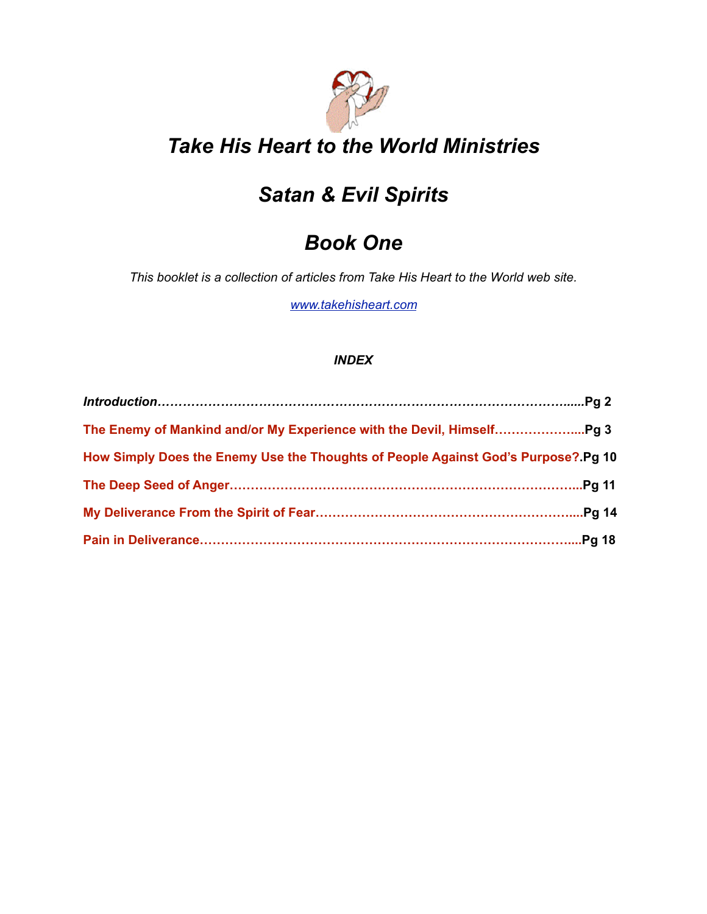

# *Take His Heart to the World Ministries*

# *Satan & Evil Spirits*

# *Book One*

*This booklet is a collection of articles from Take His Heart to the World web site.* 

*[www.takehisheart.com](http://www.takehisheart.com)*

### *INDEX*

| How Simply Does the Enemy Use the Thoughts of People Against God's Purpose? Pg 10 |  |
|-----------------------------------------------------------------------------------|--|
|                                                                                   |  |
|                                                                                   |  |
|                                                                                   |  |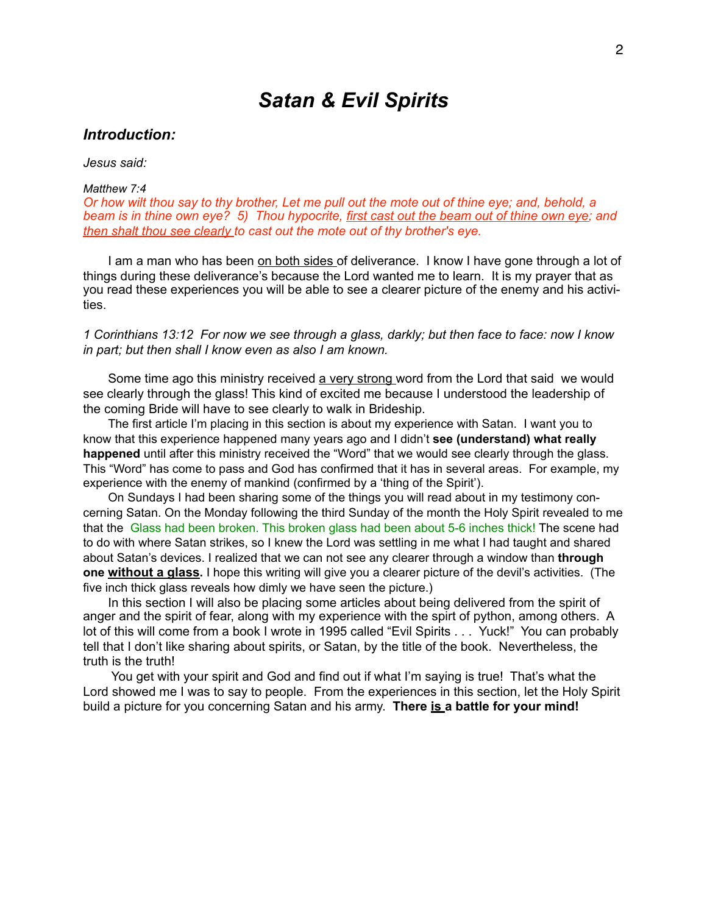# *Satan & Evil Spirits*

#### *Introduction:*

*Jesus said:*

#### *Matthew 7:4*

*Or how wilt thou say to thy brother, Let me pull out the mote out of thine eye; and, behold, a beam is in thine own eye? 5) Thou hypocrite, first cast out the beam out of thine own eye; and then shalt thou see clearly to cast out the mote out of thy brother's eye.* 

I am a man who has been on both sides of deliverance. I know I have gone through a lot of things during these deliverance's because the Lord wanted me to learn. It is my prayer that as you read these experiences you will be able to see a clearer picture of the enemy and his activities.

*1 Corinthians 13:12 For now we see through a glass, darkly; but then face to face: now I know in part; but then shall I know even as also I am known.* 

Some time ago this ministry received a very strong word from the Lord that said we would see clearly through the glass! This kind of excited me because I understood the leadership of the coming Bride will have to see clearly to walk in Brideship.

The first article I'm placing in this section is about my experience with Satan. I want you to know that this experience happened many years ago and I didn't **see (understand) what really happened** until after this ministry received the "Word" that we would see clearly through the glass. This "Word" has come to pass and God has confirmed that it has in several areas. For example, my experience with the enemy of mankind (confirmed by a 'thing of the Spirit').

On Sundays I had been sharing some of the things you will read about in my testimony concerning Satan. On the Monday following the third Sunday of the month the Holy Spirit revealed to me that the Glass had been broken. This broken glass had been about 5-6 inches thick! The scene had to do with where Satan strikes, so I knew the Lord was settling in me what I had taught and shared about Satan's devices. I realized that we can not see any clearer through a window than **through one without a glass.** I hope this writing will give you a clearer picture of the devil's activities. (The five inch thick glass reveals how dimly we have seen the picture.)

In this section I will also be placing some articles about being delivered from the spirit of anger and the spirit of fear, along with my experience with the spirt of python, among others. A lot of this will come from a book I wrote in 1995 called "Evil Spirits . . . Yuck!" You can probably tell that I don't like sharing about spirits, or Satan, by the title of the book. Nevertheless, the truth is the truth!

You get with your spirit and God and find out if what I'm saying is true! That's what the Lord showed me I was to say to people. From the experiences in this section, let the Holy Spirit build a picture for you concerning Satan and his army. **There is a battle for your mind!**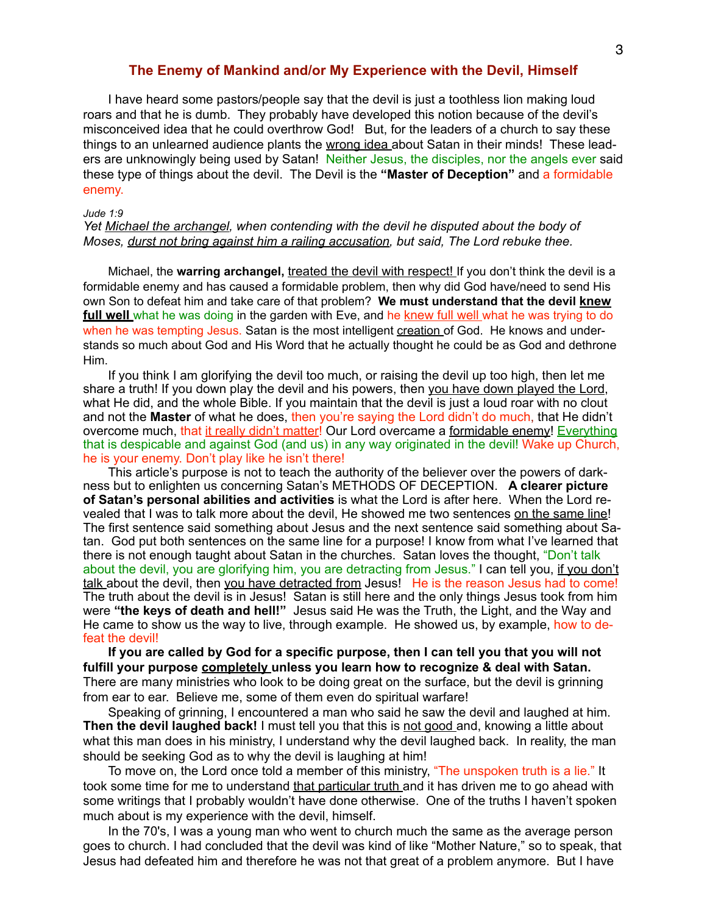### **The Enemy of Mankind and/or My Experience with the Devil, Himself**

I have heard some pastors/people say that the devil is just a toothless lion making loud roars and that he is dumb. They probably have developed this notion because of the devil's misconceived idea that he could overthrow God! But, for the leaders of a church to say these things to an unlearned audience plants the wrong idea about Satan in their minds! These leaders are unknowingly being used by Satan! Neither Jesus, the disciples, nor the angels ever said these type of things about the devil. The Devil is the **"Master of Deception"** and a formidable enemy.

#### *Jude 1:9*

#### *Yet Michael the archangel, when contending with the devil he disputed about the body of Moses, durst not bring against him a railing accusation, but said, The Lord rebuke thee.*

Michael, the **warring archangel,** treated the devil with respect! If you don't think the devil is a formidable enemy and has caused a formidable problem, then why did God have/need to send His own Son to defeat him and take care of that problem? **We must understand that the devil knew full well** what he was doing in the garden with Eve, and he knew full well what he was trying to do when he was tempting Jesus. Satan is the most intelligent creation of God. He knows and understands so much about God and His Word that he actually thought he could be as God and dethrone Him.

If you think I am glorifying the devil too much, or raising the devil up too high, then let me share a truth! If you down play the devil and his powers, then you have down played the Lord, what He did, and the whole Bible. If you maintain that the devil is just a loud roar with no clout and not the **Master** of what he does, then you're saying the Lord didn't do much, that He didn't overcome much, that it really didn't matter! Our Lord overcame a formidable enemy! Everything that is despicable and against God (and us) in any way originated in the devil! Wake up Church, he is your enemy. Don't play like he isn't there!

This article's purpose is not to teach the authority of the believer over the powers of darkness but to enlighten us concerning Satan's METHODS OF DECEPTION. **A clearer picture of Satan's personal abilities and activities** is what the Lord is after here. When the Lord revealed that I was to talk more about the devil, He showed me two sentences on the same line! The first sentence said something about Jesus and the next sentence said something about Satan. God put both sentences on the same line for a purpose! I know from what I've learned that there is not enough taught about Satan in the churches. Satan loves the thought, "Don't talk about the devil, you are glorifying him, you are detracting from Jesus." I can tell you, if you don't talk about the devil, then you have detracted from Jesus! He is the reason Jesus had to come! The truth about the devil is in Jesus! Satan is still here and the only things Jesus took from him were **"the keys of death and hell!"** Jesus said He was the Truth, the Light, and the Way and He came to show us the way to live, through example. He showed us, by example, how to defeat the devil!

**If you are called by God for a specific purpose, then I can tell you that you will not fulfill your purpose completely unless you learn how to recognize & deal with Satan.**  There are many ministries who look to be doing great on the surface, but the devil is grinning from ear to ear. Believe me, some of them even do spiritual warfare!

Speaking of grinning, I encountered a man who said he saw the devil and laughed at him. Then the devil laughed back! I must tell you that this is not good and, knowing a little about what this man does in his ministry, I understand why the devil laughed back. In reality, the man should be seeking God as to why the devil is laughing at him!

To move on, the Lord once told a member of this ministry, "The unspoken truth is a lie." It took some time for me to understand that particular truth and it has driven me to go ahead with some writings that I probably wouldn't have done otherwise. One of the truths I haven't spoken much about is my experience with the devil, himself.

In the 70's, I was a young man who went to church much the same as the average person goes to church. I had concluded that the devil was kind of like "Mother Nature," so to speak, that Jesus had defeated him and therefore he was not that great of a problem anymore. But I have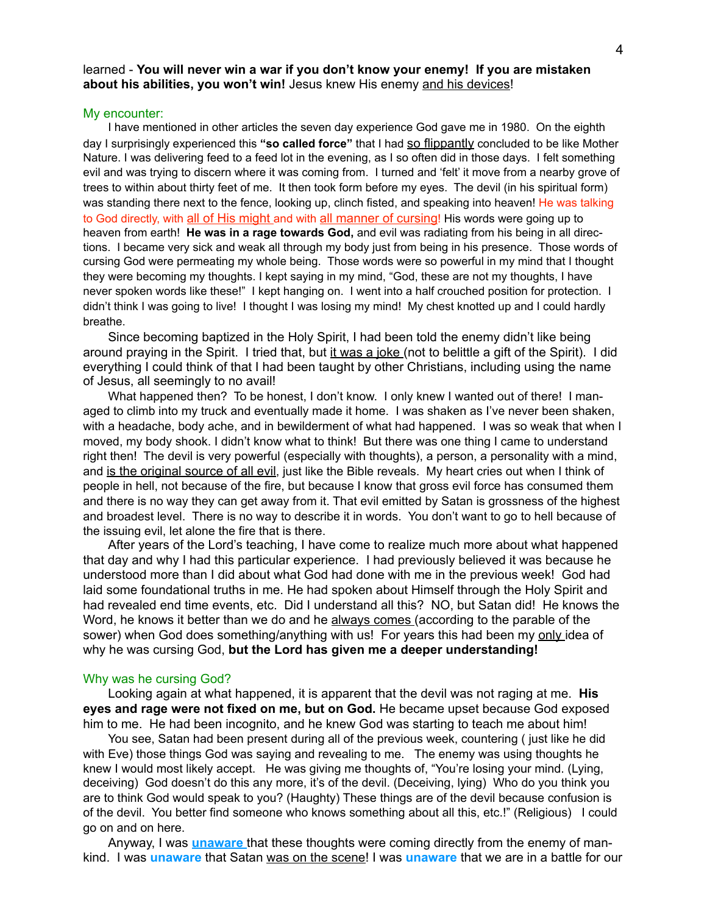#### learned - **You will never win a war if you don't know your enemy! If you are mistaken about his abilities, you won't win!** Jesus knew His enemy and his devices!

#### My encounter:

I have mentioned in other articles the seven day experience God gave me in 1980. On the eighth day I surprisingly experienced this **"so called force"** that I had so flippantly concluded to be like Mother Nature. I was delivering feed to a feed lot in the evening, as I so often did in those days. I felt something evil and was trying to discern where it was coming from. I turned and 'felt' it move from a nearby grove of trees to within about thirty feet of me. It then took form before my eyes. The devil (in his spiritual form) was standing there next to the fence, looking up, clinch fisted, and speaking into heaven! He was talking to God directly, with all of His might and with all manner of cursing! His words were going up to heaven from earth! **He was in a rage towards God,** and evil was radiating from his being in all directions. I became very sick and weak all through my body just from being in his presence. Those words of cursing God were permeating my whole being. Those words were so powerful in my mind that I thought they were becoming my thoughts. I kept saying in my mind, "God, these are not my thoughts, I have never spoken words like these!" I kept hanging on. I went into a half crouched position for protection. I didn't think I was going to live! I thought I was losing my mind! My chest knotted up and I could hardly breathe.

Since becoming baptized in the Holy Spirit, I had been told the enemy didn't like being around praying in the Spirit. I tried that, but it was a joke (not to belittle a gift of the Spirit). I did everything I could think of that I had been taught by other Christians, including using the name of Jesus, all seemingly to no avail!

What happened then? To be honest, I don't know. I only knew I wanted out of there! I managed to climb into my truck and eventually made it home. I was shaken as I've never been shaken, with a headache, body ache, and in bewilderment of what had happened. I was so weak that when I moved, my body shook. I didn't know what to think! But there was one thing I came to understand right then! The devil is very powerful (especially with thoughts), a person, a personality with a mind, and is the original source of all evil, just like the Bible reveals. My heart cries out when I think of people in hell, not because of the fire, but because I know that gross evil force has consumed them and there is no way they can get away from it. That evil emitted by Satan is grossness of the highest and broadest level. There is no way to describe it in words. You don't want to go to hell because of the issuing evil, let alone the fire that is there.

After years of the Lord's teaching, I have come to realize much more about what happened that day and why I had this particular experience. I had previously believed it was because he understood more than I did about what God had done with me in the previous week! God had laid some foundational truths in me. He had spoken about Himself through the Holy Spirit and had revealed end time events, etc. Did I understand all this? NO, but Satan did! He knows the Word, he knows it better than we do and he always comes (according to the parable of the sower) when God does something/anything with us! For years this had been my only idea of why he was cursing God, **but the Lord has given me a deeper understanding!** 

#### Why was he cursing God?

Looking again at what happened, it is apparent that the devil was not raging at me. **His eyes and rage were not fixed on me, but on God.** He became upset because God exposed him to me. He had been incognito, and he knew God was starting to teach me about him!

You see, Satan had been present during all of the previous week, countering ( just like he did with Eve) those things God was saying and revealing to me. The enemy was using thoughts he knew I would most likely accept. He was giving me thoughts of, "You're losing your mind. (Lying, deceiving) God doesn't do this any more, it's of the devil. (Deceiving, lying) Who do you think you are to think God would speak to you? (Haughty) These things are of the devil because confusion is of the devil. You better find someone who knows something about all this, etc.!" (Religious) I could go on and on here.

Anyway, I was **unaware** that these thoughts were coming directly from the enemy of mankind. I was **unaware** that Satan was on the scene! I was **unaware** that we are in a battle for our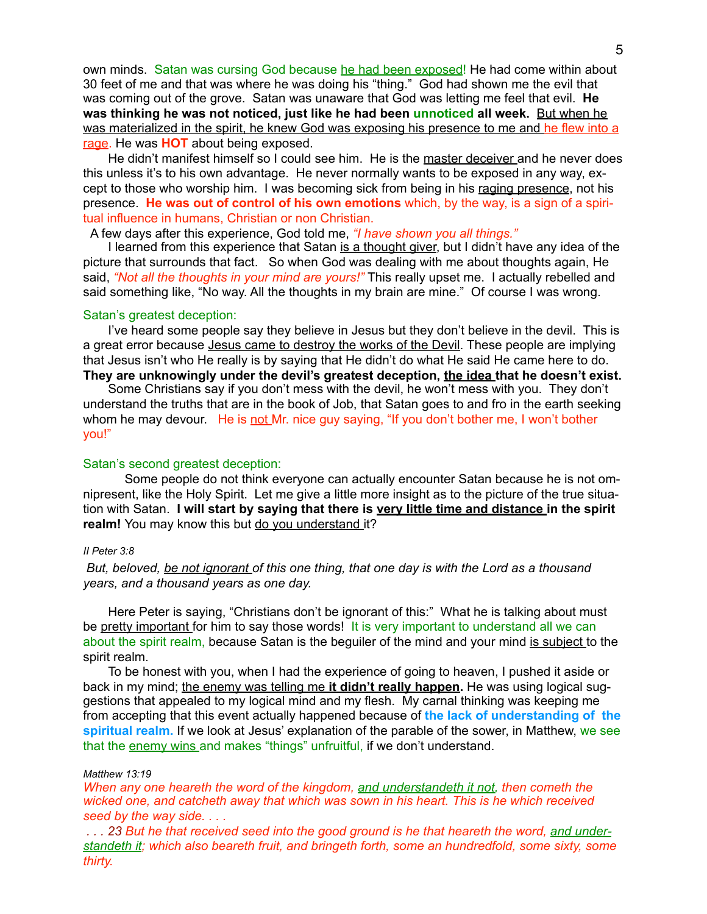own minds. Satan was cursing God because he had been exposed! He had come within about 30 feet of me and that was where he was doing his "thing." God had shown me the evil that was coming out of the grove. Satan was unaware that God was letting me feel that evil. **He was thinking he was not noticed, just like he had been unnoticed all week.** But when he was materialized in the spirit, he knew God was exposing his presence to me and he flew into a rage. He was **HOT** about being exposed.

He didn't manifest himself so I could see him. He is the master deceiver and he never does this unless it's to his own advantage. He never normally wants to be exposed in any way, except to those who worship him. I was becoming sick from being in his raging presence, not his presence. **He was out of control of his own emotions** which, by the way, is a sign of a spiritual influence in humans, Christian or non Christian.

A few days after this experience, God told me, *"I have shown you all things."* 

I learned from this experience that Satan is a thought giver, but I didn't have any idea of the picture that surrounds that fact. So when God was dealing with me about thoughts again, He said, *"Not all the thoughts in your mind are yours!"* This really upset me. I actually rebelled and said something like, "No way. All the thoughts in my brain are mine." Of course I was wrong.

#### Satan's greatest deception:

I've heard some people say they believe in Jesus but they don't believe in the devil. This is a great error because Jesus came to destroy the works of the Devil. These people are implying that Jesus isn't who He really is by saying that He didn't do what He said He came here to do. **They are unknowingly under the devil's greatest deception, the idea that he doesn't exist.** 

Some Christians say if you don't mess with the devil, he won't mess with you. They don't understand the truths that are in the book of Job, that Satan goes to and fro in the earth seeking whom he may devour. He is not Mr. nice guy saying, "If you don't bother me, I won't bother you!"

#### Satan's second greatest deception:

Some people do not think everyone can actually encounter Satan because he is not omnipresent, like the Holy Spirit. Let me give a little more insight as to the picture of the true situation with Satan. **I will start by saying that there is very little time and distance in the spirit**  realm! You may know this but do you understand it?

#### *II Peter 3:8*

*But, beloved, be not ignorant of this one thing, that one day is with the Lord as a thousand years, and a thousand years as one day.* 

Here Peter is saying, "Christians don't be ignorant of this:" What he is talking about must be pretty important for him to say those words! It is very important to understand all we can about the spirit realm, because Satan is the beguiler of the mind and your mind is subject to the spirit realm.

To be honest with you, when I had the experience of going to heaven, I pushed it aside or back in my mind; the enemy was telling me **it didn't really happen.** He was using logical suggestions that appealed to my logical mind and my flesh. My carnal thinking was keeping me from accepting that this event actually happened because of **the lack of understanding of the spiritual realm.** If we look at Jesus' explanation of the parable of the sower, in Matthew, we see that the enemy wins and makes "things" unfruitful, if we don't understand.

#### *Matthew 13:19*

*When any one heareth the word of the kingdom, and understandeth it not, then cometh the wicked one, and catcheth away that which was sown in his heart. This is he which received seed by the way side. . . .* 

*. . . 23 But he that received seed into the good ground is he that heareth the word, and understandeth it; which also beareth fruit, and bringeth forth, some an hundredfold, some sixty, some thirty.*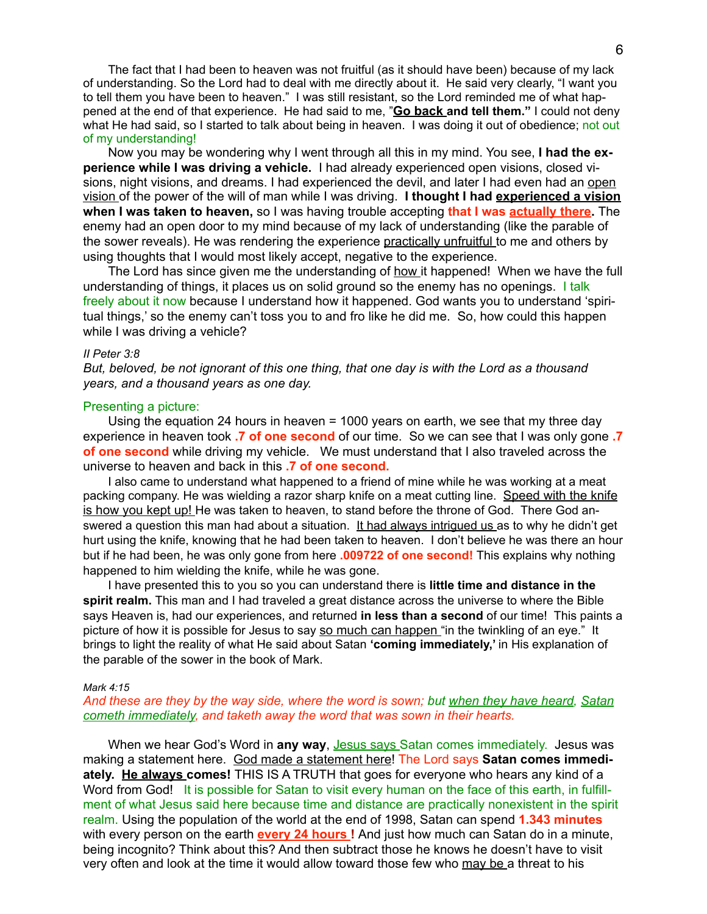The fact that I had been to heaven was not fruitful (as it should have been) because of my lack of understanding. So the Lord had to deal with me directly about it. He said very clearly, "I want you to tell them you have been to heaven." I was still resistant, so the Lord reminded me of what happened at the end of that experience. He had said to me, "**Go back and tell them."** I could not deny what He had said, so I started to talk about being in heaven. I was doing it out of obedience; not out of my understanding!

Now you may be wondering why I went through all this in my mind. You see, **I had the experience while I was driving a vehicle.** I had already experienced open visions, closed visions, night visions, and dreams. I had experienced the devil, and later I had even had an open vision of the power of the will of man while I was driving. **I thought I had experienced a vision when I was taken to heaven,** so I was having trouble accepting **that I was actually there.** The enemy had an open door to my mind because of my lack of understanding (like the parable of the sower reveals). He was rendering the experience practically unfruitful to me and others by using thoughts that I would most likely accept, negative to the experience.

The Lord has since given me the understanding of how it happened! When we have the full understanding of things, it places us on solid ground so the enemy has no openings. I talk freely about it now because I understand how it happened. God wants you to understand 'spiritual things,' so the enemy can't toss you to and fro like he did me. So, how could this happen while I was driving a vehicle?

#### *II Peter 3:8*

*But, beloved, be not ignorant of this one thing, that one day is with the Lord as a thousand years, and a thousand years as one day.* 

#### Presenting a picture:

Using the equation 24 hours in heaven = 1000 years on earth, we see that my three day experience in heaven took **.7 of one second** of our time. So we can see that I was only gone **.7 of one second** while driving my vehicle. We must understand that I also traveled across the universe to heaven and back in this **.7 of one second.** 

I also came to understand what happened to a friend of mine while he was working at a meat packing company. He was wielding a razor sharp knife on a meat cutting line. Speed with the knife is how you kept up! He was taken to heaven, to stand before the throne of God. There God answered a question this man had about a situation. It had always intrigued us as to why he didn't get hurt using the knife, knowing that he had been taken to heaven. I don't believe he was there an hour but if he had been, he was only gone from here **.009722 of one second!** This explains why nothing happened to him wielding the knife, while he was gone.

I have presented this to you so you can understand there is **little time and distance in the spirit realm.** This man and I had traveled a great distance across the universe to where the Bible says Heaven is, had our experiences, and returned **in less than a second** of our time! This paints a picture of how it is possible for Jesus to say so much can happen "in the twinkling of an eye." It brings to light the reality of what He said about Satan **'coming immediately,'** in His explanation of the parable of the sower in the book of Mark.

#### *Mark 4:15*

#### *And these are they by the way side, where the word is sown; but when they have heard, Satan cometh immediately, and taketh away the word that was sown in their hearts.*

When we hear God's Word in any way, Jesus says Satan comes immediately. Jesus was making a statement here. God made a statement here! The Lord says **Satan comes immediately. He always comes!** THIS IS A TRUTH that goes for everyone who hears any kind of a Word from God! It is possible for Satan to visit every human on the face of this earth, in fulfillment of what Jesus said here because time and distance are practically nonexistent in the spirit realm. Using the population of the world at the end of 1998, Satan can spend **1.343 minutes**  with every person on the earth **every 24 hours !** And just how much can Satan do in a minute, being incognito? Think about this? And then subtract those he knows he doesn't have to visit very often and look at the time it would allow toward those few who may be a threat to his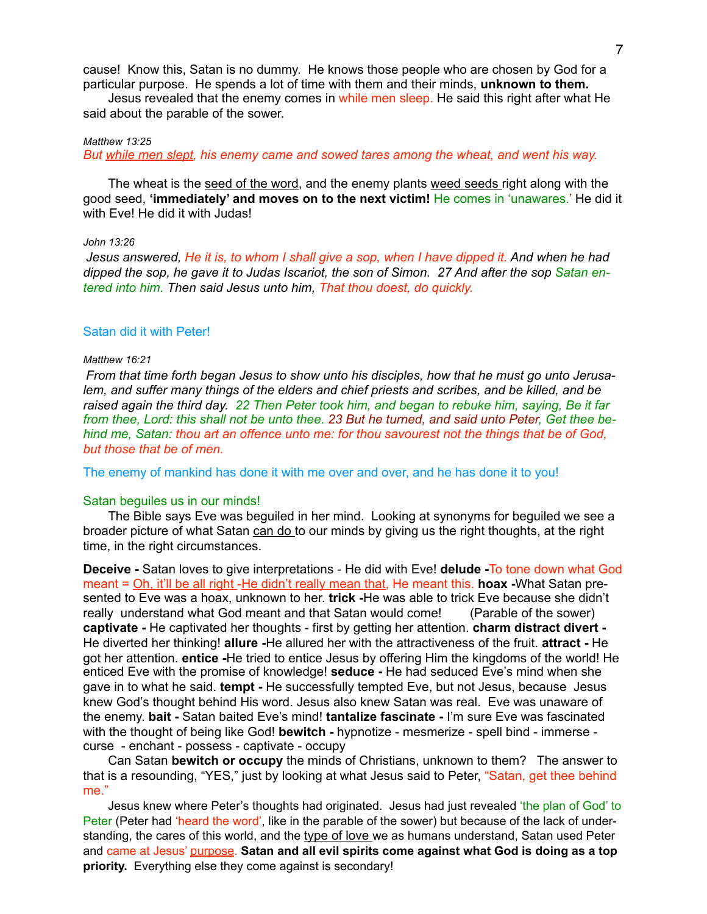cause! Know this, Satan is no dummy. He knows those people who are chosen by God for a particular purpose. He spends a lot of time with them and their minds, **unknown to them.** 

Jesus revealed that the enemy comes in while men sleep. He said this right after what He said about the parable of the sower.

#### *Matthew 13:25*

*But while men slept, his enemy came and sowed tares among the wheat, and went his way.* 

The wheat is the seed of the word, and the enemy plants weed seeds right along with the good seed, **'immediately' and moves on to the next victim!** He comes in 'unawares.' He did it with Eve! He did it with Judas!

#### *John 13:26*

*Jesus answered, He it is, to whom I shall give a sop, when I have dipped it. And when he had dipped the sop, he gave it to Judas Iscariot, the son of Simon. 27 And after the sop Satan entered into him. Then said Jesus unto him, That thou doest, do quickly.* 

#### Satan did it with Peter!

#### *Matthew 16:21*

*From that time forth began Jesus to show unto his disciples, how that he must go unto Jerusalem, and suffer many things of the elders and chief priests and scribes, and be killed, and be raised again the third day. 22 Then Peter took him, and began to rebuke him, saying, Be it far from thee, Lord: this shall not be unto thee. 23 But he turned, and said unto Peter, Get thee behind me, Satan: thou art an offence unto me: for thou savourest not the things that be of God, but those that be of men.* 

The enemy of mankind has done it with me over and over, and he has done it to you!

#### Satan beguiles us in our minds!

The Bible says Eve was beguiled in her mind. Looking at synonyms for beguiled we see a broader picture of what Satan can do to our minds by giving us the right thoughts, at the right time, in the right circumstances.

**Deceive -** Satan loves to give interpretations - He did with Eve! **delude -**To tone down what God meant = Oh, it'll be all right -He didn't really mean that, He meant this. **hoax -**What Satan presented to Eve was a hoax, unknown to her. **trick -**He was able to trick Eve because she didn't really understand what God meant and that Satan would come! (Parable of the sower) **captivate -** He captivated her thoughts - first by getting her attention. **charm distract divert -**  He diverted her thinking! **allure -**He allured her with the attractiveness of the fruit. **attract -** He got her attention. **entice -**He tried to entice Jesus by offering Him the kingdoms of the world! He enticed Eve with the promise of knowledge! **seduce -** He had seduced Eve's mind when she gave in to what he said. **tempt -** He successfully tempted Eve, but not Jesus, because Jesus knew God's thought behind His word. Jesus also knew Satan was real. Eve was unaware of the enemy. **bait -** Satan baited Eve's mind! **tantalize fascinate -** I'm sure Eve was fascinated with the thought of being like God! **bewitch -** hypnotize - mesmerize - spell bind - immerse curse - enchant - possess - captivate - occupy

Can Satan **bewitch or occupy** the minds of Christians, unknown to them? The answer to that is a resounding, "YES," just by looking at what Jesus said to Peter, "Satan, get thee behind me."

Jesus knew where Peter's thoughts had originated. Jesus had just revealed 'the plan of God' to Peter (Peter had 'heard the word', like in the parable of the sower) but because of the lack of understanding, the cares of this world, and the type of love we as humans understand, Satan used Peter and came at Jesus' purpose. **Satan and all evil spirits come against what God is doing as a top priority.** Everything else they come against is secondary!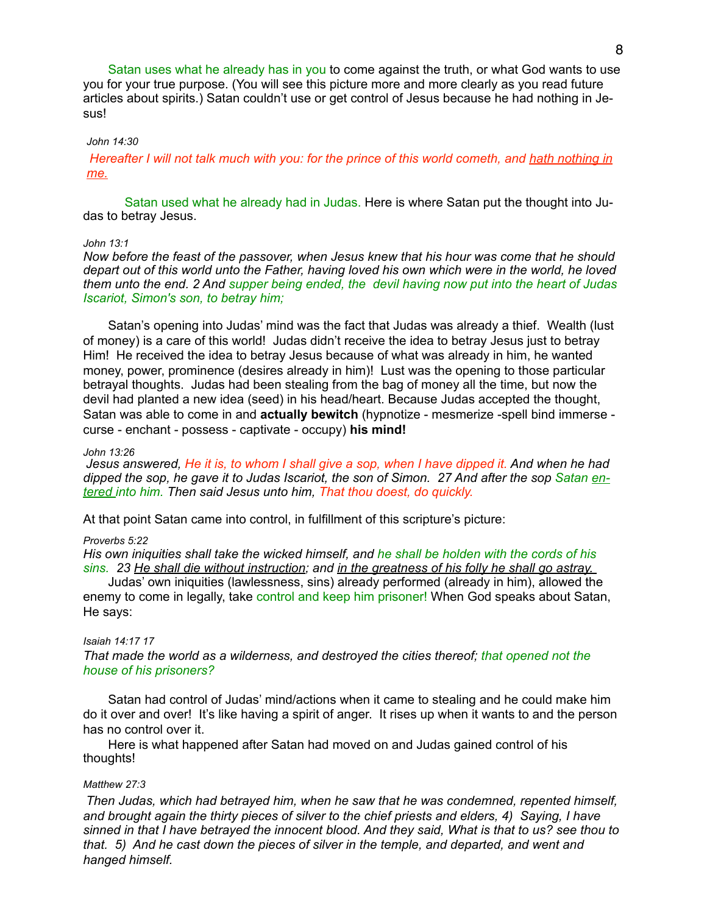Satan uses what he already has in you to come against the truth, or what God wants to use you for your true purpose. (You will see this picture more and more clearly as you read future articles about spirits.) Satan couldn't use or get control of Jesus because he had nothing in Jesus!

#### *John 14:30*

*Hereafter I will not talk much with you: for the prince of this world cometh, and hath nothing in me.* 

Satan used what he already had in Judas. Here is where Satan put the thought into Judas to betray Jesus.

#### *John 13:1*

*Now before the feast of the passover, when Jesus knew that his hour was come that he should depart out of this world unto the Father, having loved his own which were in the world, he loved them unto the end. 2 And supper being ended, the devil having now put into the heart of Judas Iscariot, Simon's son, to betray him;* 

Satan's opening into Judas' mind was the fact that Judas was already a thief. Wealth (lust of money) is a care of this world! Judas didn't receive the idea to betray Jesus just to betray Him! He received the idea to betray Jesus because of what was already in him, he wanted money, power, prominence (desires already in him)! Lust was the opening to those particular betrayal thoughts. Judas had been stealing from the bag of money all the time, but now the devil had planted a new idea (seed) in his head/heart. Because Judas accepted the thought, Satan was able to come in and **actually bewitch** (hypnotize - mesmerize -spell bind immerse curse - enchant - possess - captivate - occupy) **his mind!** 

#### *John 13:26*

*Jesus answered, He it is, to whom I shall give a sop, when I have dipped it. And when he had dipped the sop, he gave it to Judas Iscariot, the son of Simon. 27 And after the sop Satan entered into him. Then said Jesus unto him, That thou doest, do quickly.* 

At that point Satan came into control, in fulfillment of this scripture's picture:

#### *Proverbs 5:22*

*His own iniquities shall take the wicked himself, and he shall be holden with the cords of his sins. 23 He shall die without instruction; and in the greatness of his folly he shall go astray.* 

Judas' own iniquities (lawlessness, sins) already performed (already in him), allowed the enemy to come in legally, take control and keep him prisoner! When God speaks about Satan, He says:

#### *Isaiah 14:17 17*

*That made the world as a wilderness, and destroyed the cities thereof; that opened not the house of his prisoners?* 

Satan had control of Judas' mind/actions when it came to stealing and he could make him do it over and over! It's like having a spirit of anger. It rises up when it wants to and the person has no control over it.

Here is what happened after Satan had moved on and Judas gained control of his thoughts!

#### *Matthew 27:3*

*Then Judas, which had betrayed him, when he saw that he was condemned, repented himself, and brought again the thirty pieces of silver to the chief priests and elders, 4) Saying, I have sinned in that I have betrayed the innocent blood. And they said, What is that to us? see thou to that. 5) And he cast down the pieces of silver in the temple, and departed, and went and hanged himself.*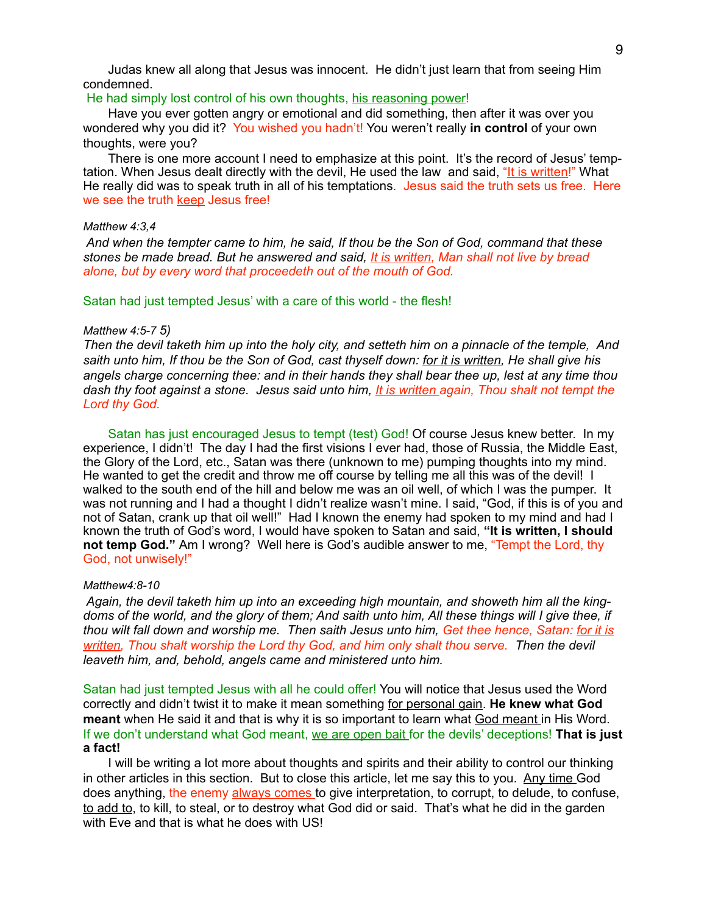Judas knew all along that Jesus was innocent. He didn't just learn that from seeing Him condemned.

#### He had simply lost control of his own thoughts, his reasoning power!

Have you ever gotten angry or emotional and did something, then after it was over you wondered why you did it? You wished you hadn't! You weren't really **in control** of your own thoughts, were you?

There is one more account I need to emphasize at this point. It's the record of Jesus' temptation. When Jesus dealt directly with the devil, He used the law and said, "It is written!" What He really did was to speak truth in all of his temptations. Jesus said the truth sets us free. Here we see the truth keep Jesus free!

#### *Matthew 4:3,4*

*And when the tempter came to him, he said, If thou be the Son of God, command that these stones be made bread. But he answered and said, It is written, Man shall not live by bread alone, but by every word that proceedeth out of the mouth of God.* 

Satan had just tempted Jesus' with a care of this world - the flesh!

#### *Matthew 4:5-7 5)*

*Then the devil taketh him up into the holy city, and setteth him on a pinnacle of the temple, And saith unto him, If thou be the Son of God, cast thyself down: for it is written, He shall give his angels charge concerning thee: and in their hands they shall bear thee up, lest at any time thou dash thy foot against a stone. Jesus said unto him, It is written again, Thou shalt not tempt the Lord thy God.* 

Satan has just encouraged Jesus to tempt (test) God! Of course Jesus knew better. In my experience, I didn't! The day I had the first visions I ever had, those of Russia, the Middle East, the Glory of the Lord, etc., Satan was there (unknown to me) pumping thoughts into my mind. He wanted to get the credit and throw me off course by telling me all this was of the devil! I walked to the south end of the hill and below me was an oil well, of which I was the pumper. It was not running and I had a thought I didn't realize wasn't mine. I said, "God, if this is of you and not of Satan, crank up that oil well!" Had I known the enemy had spoken to my mind and had I known the truth of God's word, I would have spoken to Satan and said, **"It is written, I should not temp God."** Am I wrong? Well here is God's audible answer to me, "Tempt the Lord, thy God, not unwisely!"

#### *Matthew4:8-10*

*Again, the devil taketh him up into an exceeding high mountain, and showeth him all the kingdoms of the world, and the glory of them; And saith unto him, All these things will I give thee, if thou wilt fall down and worship me. Then saith Jesus unto him, Get thee hence, Satan: for it is written, Thou shalt worship the Lord thy God, and him only shalt thou serve. Then the devil leaveth him, and, behold, angels came and ministered unto him.* 

Satan had just tempted Jesus with all he could offer! You will notice that Jesus used the Word correctly and didn't twist it to make it mean something for personal gain. **He knew what God meant** when He said it and that is why it is so important to learn what God meant in His Word. If we don't understand what God meant, we are open bait for the devils' deceptions! **That is just a fact!** 

I will be writing a lot more about thoughts and spirits and their ability to control our thinking in other articles in this section. But to close this article, let me say this to you. Any time God does anything, the enemy always comes to give interpretation, to corrupt, to delude, to confuse, to add to, to kill, to steal, or to destroy what God did or said. That's what he did in the garden with Eve and that is what he does with US!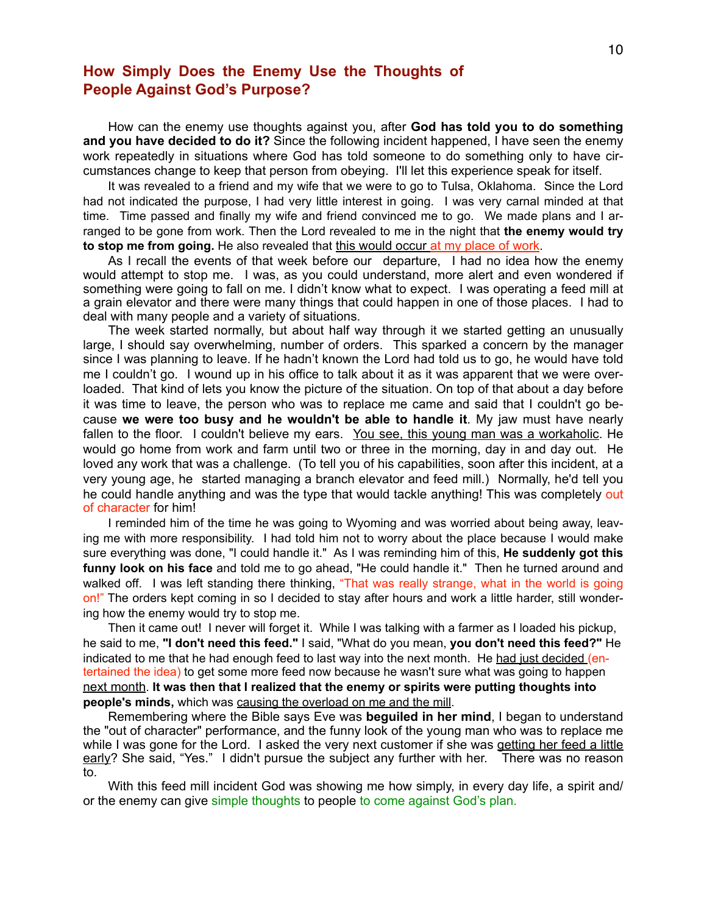## **How Simply Does the Enemy Use the Thoughts of People Against God's Purpose?**

How can the enemy use thoughts against you, after **God has told you to do something and you have decided to do it?** Since the following incident happened, I have seen the enemy work repeatedly in situations where God has told someone to do something only to have circumstances change to keep that person from obeying. I'll let this experience speak for itself.

It was revealed to a friend and my wife that we were to go to Tulsa, Oklahoma. Since the Lord had not indicated the purpose, I had very little interest in going. I was very carnal minded at that time. Time passed and finally my wife and friend convinced me to go. We made plans and I arranged to be gone from work. Then the Lord revealed to me in the night that **the enemy would try to stop me from going.** He also revealed that this would occur at my place of work.

As I recall the events of that week before our departure, I had no idea how the enemy would attempt to stop me. I was, as you could understand, more alert and even wondered if something were going to fall on me. I didn't know what to expect. I was operating a feed mill at a grain elevator and there were many things that could happen in one of those places. I had to deal with many people and a variety of situations.

The week started normally, but about half way through it we started getting an unusually large, I should say overwhelming, number of orders. This sparked a concern by the manager since I was planning to leave. If he hadn't known the Lord had told us to go, he would have told me I couldn't go. I wound up in his office to talk about it as it was apparent that we were overloaded. That kind of lets you know the picture of the situation. On top of that about a day before it was time to leave, the person who was to replace me came and said that I couldn't go because **we were too busy and he wouldn't be able to handle it**. My jaw must have nearly fallen to the floor. I couldn't believe my ears. You see, this young man was a workaholic. He would go home from work and farm until two or three in the morning, day in and day out. He loved any work that was a challenge. (To tell you of his capabilities, soon after this incident, at a very young age, he started managing a branch elevator and feed mill.) Normally, he'd tell you he could handle anything and was the type that would tackle anything! This was completely out of character for him!

I reminded him of the time he was going to Wyoming and was worried about being away, leaving me with more responsibility. I had told him not to worry about the place because I would make sure everything was done, "I could handle it." As I was reminding him of this, **He suddenly got this funny look on his face** and told me to go ahead, "He could handle it." Then he turned around and walked off. I was left standing there thinking, "That was really strange, what in the world is going on!" The orders kept coming in so I decided to stay after hours and work a little harder, still wondering how the enemy would try to stop me.

Then it came out! I never will forget it. While I was talking with a farmer as I loaded his pickup, he said to me, **"I don't need this feed."** I said, "What do you mean, **you don't need this feed?"** He indicated to me that he had enough feed to last way into the next month. He had just decided (entertained the idea) to get some more feed now because he wasn't sure what was going to happen next month. **It was then that I realized that the enemy or spirits were putting thoughts into people's minds,** which was causing the overload on me and the mill.

Remembering where the Bible says Eve was **beguiled in her mind**, I began to understand the "out of character" performance, and the funny look of the young man who was to replace me while I was gone for the Lord. I asked the very next customer if she was getting her feed a little early? She said, "Yes." I didn't pursue the subject any further with her. There was no reason to.

With this feed mill incident God was showing me how simply, in every day life, a spirit and/ or the enemy can give simple thoughts to people to come against God's plan.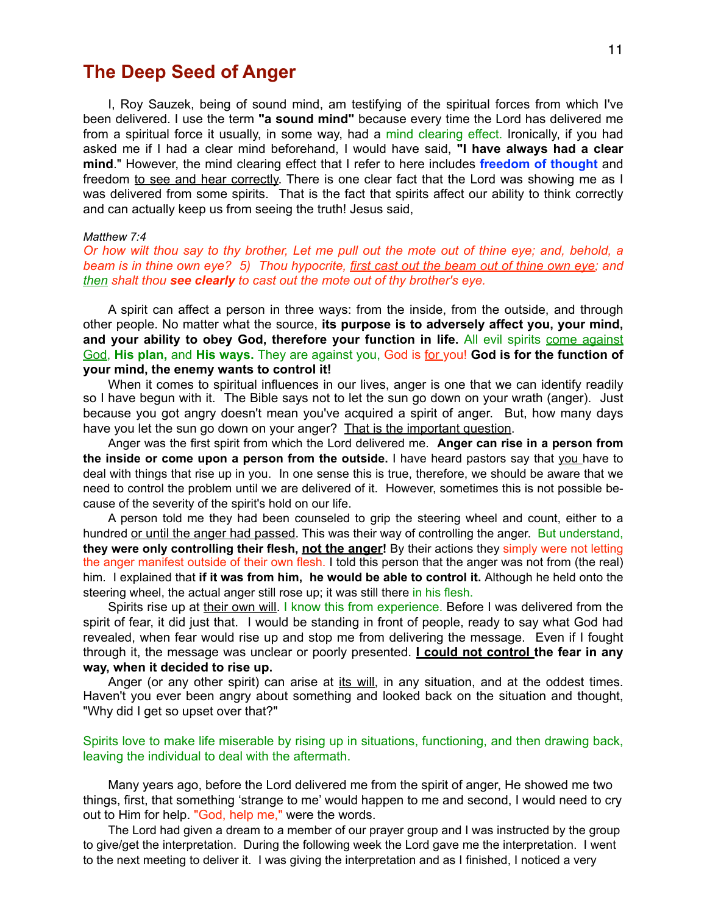# **The Deep Seed of Anger**

I, Roy Sauzek, being of sound mind, am testifying of the spiritual forces from which I've been delivered. I use the term **"a sound mind"** because every time the Lord has delivered me from a spiritual force it usually, in some way, had a mind clearing effect. Ironically, if you had asked me if I had a clear mind beforehand, I would have said, **"I have always had a clear mind**." However, the mind clearing effect that I refer to here includes **freedom of thought** and freedom to see and hear correctly. There is one clear fact that the Lord was showing me as I was delivered from some spirits. That is the fact that spirits affect our ability to think correctly and can actually keep us from seeing the truth! Jesus said,

#### *Matthew 7:4*

*Or how wilt thou say to thy brother, Let me pull out the mote out of thine eye; and, behold, a beam is in thine own eye? 5) Thou hypocrite, first cast out the beam out of thine own eye; and then shalt thou see clearly to cast out the mote out of thy brother's eye.* 

A spirit can affect a person in three ways: from the inside, from the outside, and through other people. No matter what the source, **its purpose is to adversely affect you, your mind, and your ability to obey God, therefore your function in life.** All evil spirits come against God, **His plan,** and **His ways.** They are against you, God is for you! **God is for the function of your mind, the enemy wants to control it!** 

When it comes to spiritual influences in our lives, anger is one that we can identify readily so I have begun with it. The Bible says not to let the sun go down on your wrath (anger). Just because you got angry doesn't mean you've acquired a spirit of anger. But, how many days have you let the sun go down on your anger? That is the important question.

Anger was the first spirit from which the Lord delivered me. **Anger can rise in a person from the inside or come upon a person from the outside.** I have heard pastors say that you have to deal with things that rise up in you. In one sense this is true, therefore, we should be aware that we need to control the problem until we are delivered of it. However, sometimes this is not possible because of the severity of the spirit's hold on our life.

A person told me they had been counseled to grip the steering wheel and count, either to a hundred or until the anger had passed. This was their way of controlling the anger. But understand, **they were only controlling their flesh, not the anger!** By their actions they simply were not letting the anger manifest outside of their own flesh. I told this person that the anger was not from (the real) him. I explained that **if it was from him, he would be able to control it.** Although he held onto the steering wheel, the actual anger still rose up; it was still there in his flesh.

Spirits rise up at their own will. I know this from experience. Before I was delivered from the spirit of fear, it did just that. I would be standing in front of people, ready to say what God had revealed, when fear would rise up and stop me from delivering the message. Even if I fought through it, the message was unclear or poorly presented. **I could not control the fear in any way, when it decided to rise up.** 

Anger (or any other spirit) can arise at its will, in any situation, and at the oddest times. Haven't you ever been angry about something and looked back on the situation and thought, "Why did I get so upset over that?"

Spirits love to make life miserable by rising up in situations, functioning, and then drawing back, leaving the individual to deal with the aftermath.

Many years ago, before the Lord delivered me from the spirit of anger, He showed me two things, first, that something 'strange to me' would happen to me and second, I would need to cry out to Him for help. "God, help me," were the words.

The Lord had given a dream to a member of our prayer group and I was instructed by the group to give/get the interpretation. During the following week the Lord gave me the interpretation. I went to the next meeting to deliver it. I was giving the interpretation and as I finished, I noticed a very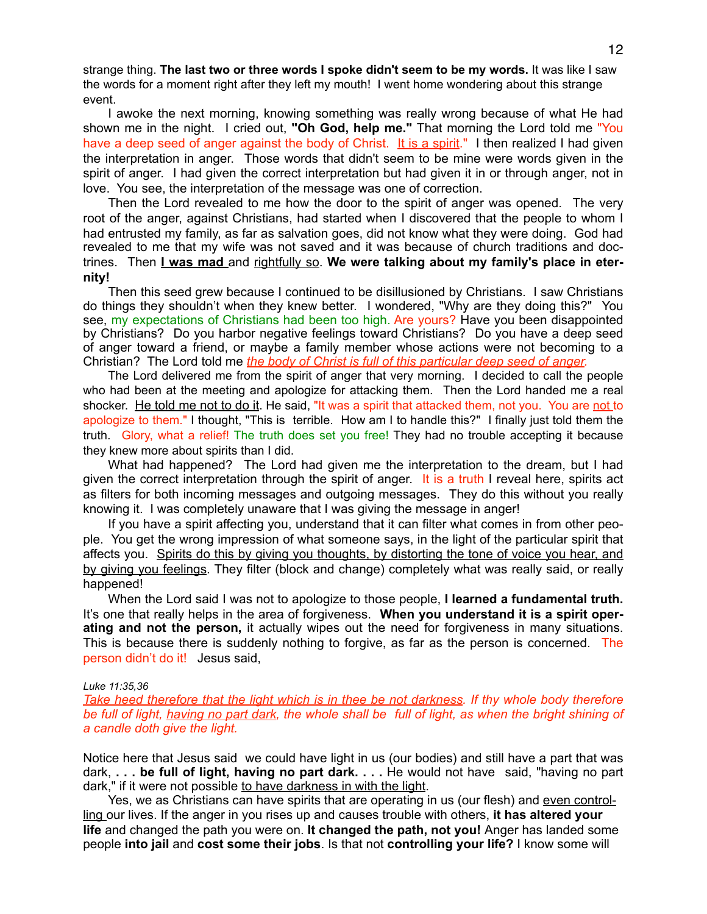strange thing. **The last two or three words I spoke didn't seem to be my words.** It was like I saw the words for a moment right after they left my mouth! I went home wondering about this strange event.

I awoke the next morning, knowing something was really wrong because of what He had shown me in the night. I cried out, **"Oh God, help me."** That morning the Lord told me "You have a deep seed of anger against the body of Christ. It is a spirit." I then realized I had given the interpretation in anger. Those words that didn't seem to be mine were words given in the spirit of anger. I had given the correct interpretation but had given it in or through anger, not in love. You see, the interpretation of the message was one of correction.

Then the Lord revealed to me how the door to the spirit of anger was opened. The very root of the anger, against Christians, had started when I discovered that the people to whom I had entrusted my family, as far as salvation goes, did not know what they were doing. God had revealed to me that my wife was not saved and it was because of church traditions and doctrines. Then **I was mad** and rightfully so. **We were talking about my family's place in eternity!** 

Then this seed grew because I continued to be disillusioned by Christians. I saw Christians do things they shouldn't when they knew better. I wondered, "Why are they doing this?" You see, my expectations of Christians had been too high. Are yours? Have you been disappointed by Christians? Do you harbor negative feelings toward Christians? Do you have a deep seed of anger toward a friend, or maybe a family member whose actions were not becoming to a Christian? The Lord told me *the body of Christ is full of this particular deep seed of anger.* 

The Lord delivered me from the spirit of anger that very morning. I decided to call the people who had been at the meeting and apologize for attacking them. Then the Lord handed me a real shocker. He told me not to do it. He said, "It was a spirit that attacked them, not you. You are not to apologize to them." I thought, "This is terrible. How am I to handle this?" I finally just told them the truth. Glory, what a relief! The truth does set you free! They had no trouble accepting it because they knew more about spirits than I did.

What had happened? The Lord had given me the interpretation to the dream, but I had given the correct interpretation through the spirit of anger. It is a truth I reveal here, spirits act as filters for both incoming messages and outgoing messages. They do this without you really knowing it. I was completely unaware that I was giving the message in anger!

If you have a spirit affecting you, understand that it can filter what comes in from other people. You get the wrong impression of what someone says, in the light of the particular spirit that affects you. Spirits do this by giving you thoughts, by distorting the tone of voice you hear, and by giving you feelings. They filter (block and change) completely what was really said, or really happened!

When the Lord said I was not to apologize to those people, **I learned a fundamental truth.**  It's one that really helps in the area of forgiveness. **When you understand it is a spirit operating and not the person,** it actually wipes out the need for forgiveness in many situations. This is because there is suddenly nothing to forgive, as far as the person is concerned. The person didn't do it! Jesus said,

#### *Luke 11:35,36*

*Take heed therefore that the light which is in thee be not darkness. If thy whole body therefore be full of light, having no part dark, the whole shall be full of light, as when the bright shining of a candle doth give the light.* 

Notice here that Jesus said we could have light in us (our bodies) and still have a part that was dark, **. . . be full of light, having no part dark. . . .** He would not have said, "having no part dark," if it were not possible to have darkness in with the light.

Yes, we as Christians can have spirits that are operating in us (our flesh) and even controlling our lives. If the anger in you rises up and causes trouble with others, **it has altered your life** and changed the path you were on. **It changed the path, not you!** Anger has landed some people **into jail** and **cost some their jobs**. Is that not **controlling your life?** I know some will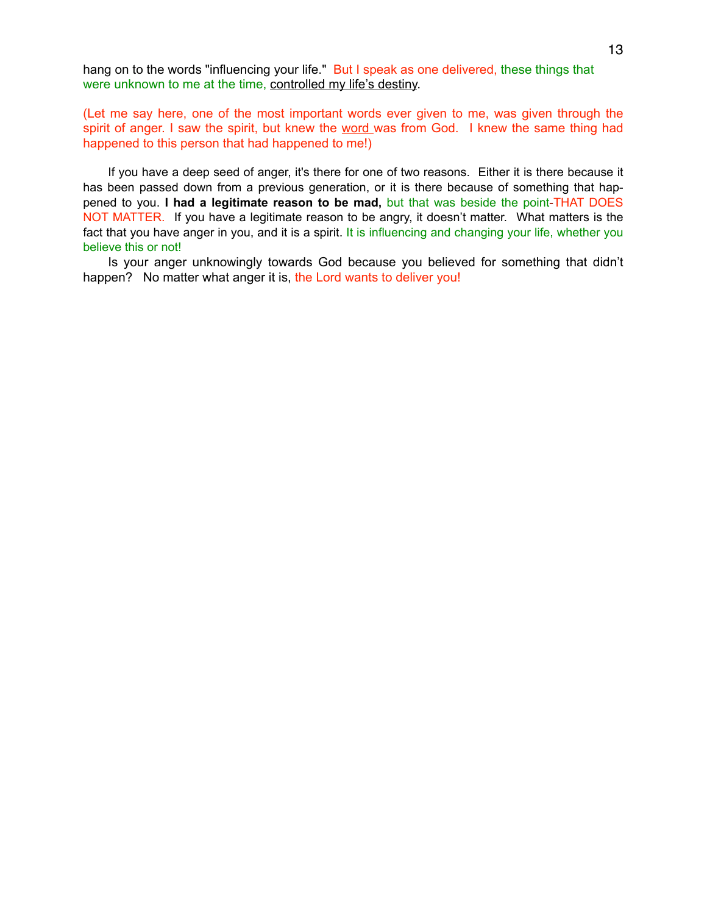hang on to the words "influencing your life." But I speak as one delivered, these things that were unknown to me at the time, controlled my life's destiny.

(Let me say here, one of the most important words ever given to me, was given through the spirit of anger. I saw the spirit, but knew the word was from God. I knew the same thing had happened to this person that had happened to me!)

If you have a deep seed of anger, it's there for one of two reasons. Either it is there because it has been passed down from a previous generation, or it is there because of something that happened to you. **I had a legitimate reason to be mad,** but that was beside the point-THAT DOES NOT MATTER. If you have a legitimate reason to be angry, it doesn't matter. What matters is the fact that you have anger in you, and it is a spirit. It is influencing and changing your life, whether you believe this or not!

Is your anger unknowingly towards God because you believed for something that didn't happen? No matter what anger it is, the Lord wants to deliver you!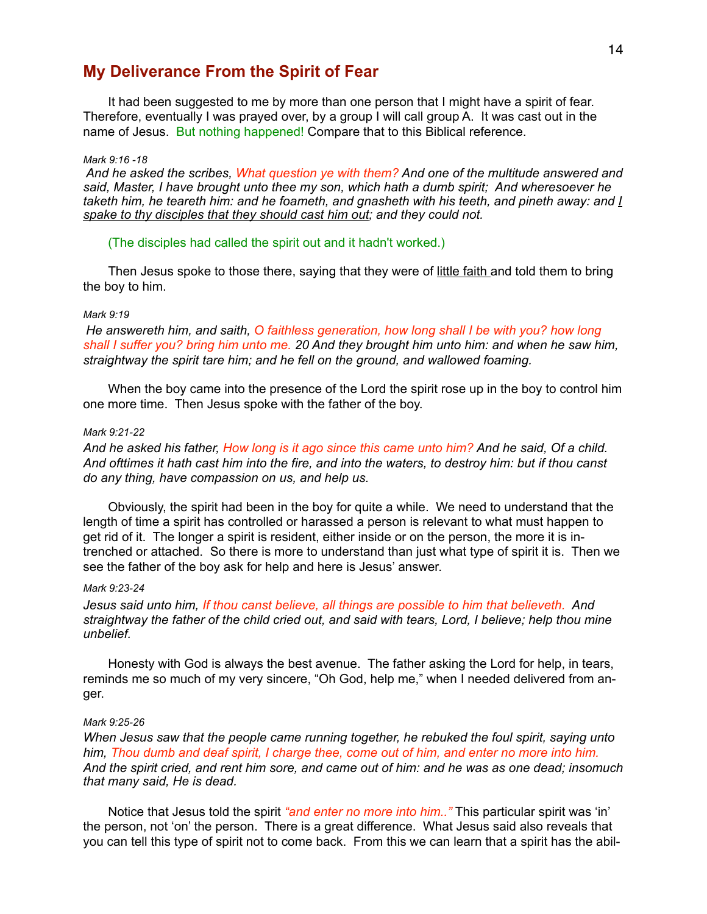## **My Deliverance From the Spirit of Fear**

It had been suggested to me by more than one person that I might have a spirit of fear. Therefore, eventually I was prayed over, by a group I will call group A. It was cast out in the name of Jesus. But nothing happened! Compare that to this Biblical reference.

#### *Mark 9:16 -18*

*And he asked the scribes, What question ye with them? And one of the multitude answered and said, Master, I have brought unto thee my son, which hath a dumb spirit; And wheresoever he taketh him, he teareth him: and he foameth, and gnasheth with his teeth, and pineth away: and I spake to thy disciples that they should cast him out; and they could not.* 

(The disciples had called the spirit out and it hadn't worked.)

Then Jesus spoke to those there, saying that they were of little faith and told them to bring the boy to him.

#### *Mark 9:19*

*He answereth him, and saith, O faithless generation, how long shall I be with you? how long shall I suffer you? bring him unto me. 20 And they brought him unto him: and when he saw him, straightway the spirit tare him; and he fell on the ground, and wallowed foaming.* 

When the boy came into the presence of the Lord the spirit rose up in the boy to control him one more time. Then Jesus spoke with the father of the boy.

#### *Mark 9:21-22*

*And he asked his father, How long is it ago since this came unto him? And he said, Of a child. And ofttimes it hath cast him into the fire, and into the waters, to destroy him: but if thou canst do any thing, have compassion on us, and help us.* 

Obviously, the spirit had been in the boy for quite a while. We need to understand that the length of time a spirit has controlled or harassed a person is relevant to what must happen to get rid of it. The longer a spirit is resident, either inside or on the person, the more it is intrenched or attached. So there is more to understand than just what type of spirit it is. Then we see the father of the boy ask for help and here is Jesus' answer.

#### *Mark 9:23-24*

*Jesus said unto him, If thou canst believe, all things are possible to him that believeth. And straightway the father of the child cried out, and said with tears, Lord, I believe; help thou mine unbelief.* 

Honesty with God is always the best avenue. The father asking the Lord for help, in tears, reminds me so much of my very sincere, "Oh God, help me," when I needed delivered from anger.

#### *Mark 9:25-26*

*When Jesus saw that the people came running together, he rebuked the foul spirit, saying unto him, Thou dumb and deaf spirit, I charge thee, come out of him, and enter no more into him. And the spirit cried, and rent him sore, and came out of him: and he was as one dead; insomuch that many said, He is dead.* 

Notice that Jesus told the spirit *"and enter no more into him.."* This particular spirit was 'in' the person, not 'on' the person. There is a great difference. What Jesus said also reveals that you can tell this type of spirit not to come back. From this we can learn that a spirit has the abil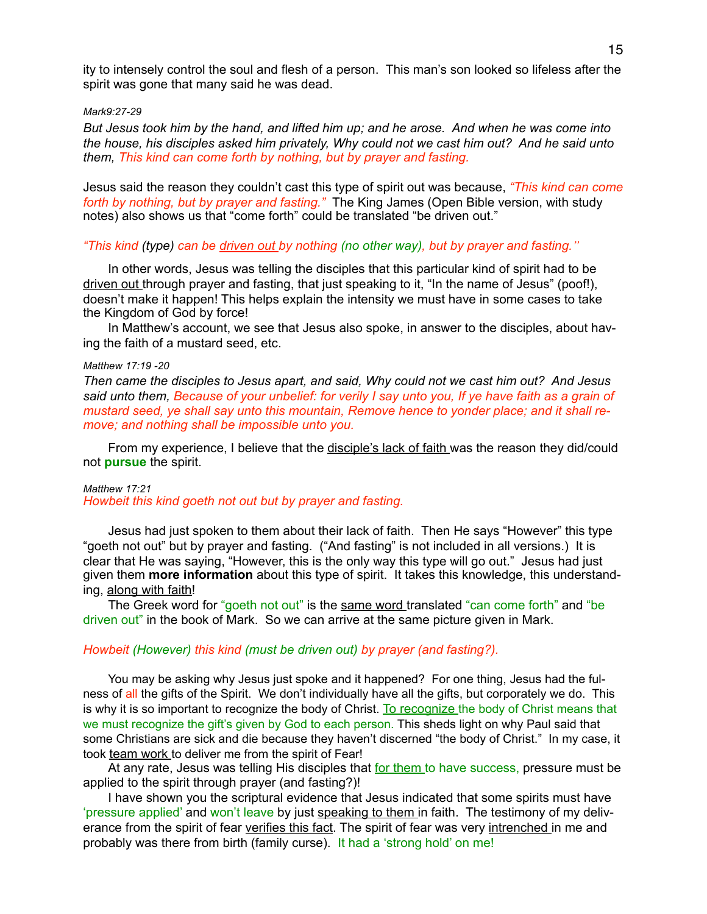ity to intensely control the soul and flesh of a person. This man's son looked so lifeless after the spirit was gone that many said he was dead.

#### *Mark9:27-29*

*But Jesus took him by the hand, and lifted him up; and he arose. And when he was come into the house, his disciples asked him privately, Why could not we cast him out? And he said unto them, This kind can come forth by nothing, but by prayer and fasting.* 

Jesus said the reason they couldn't cast this type of spirit out was because, *"This kind can come forth by nothing, but by prayer and fasting."* The King James (Open Bible version, with study notes) also shows us that "come forth" could be translated "be driven out."

#### *"This kind (type) can be driven out by nothing (no other way), but by prayer and fasting."*

In other words, Jesus was telling the disciples that this particular kind of spirit had to be driven out through prayer and fasting, that just speaking to it, "In the name of Jesus" (poof!), doesn't make it happen! This helps explain the intensity we must have in some cases to take the Kingdom of God by force!

In Matthew's account, we see that Jesus also spoke, in answer to the disciples, about having the faith of a mustard seed, etc.

#### *Matthew 17:19 -20*

*Then came the disciples to Jesus apart, and said, Why could not we cast him out? And Jesus said unto them, Because of your unbelief: for verily I say unto you, If ye have faith as a grain of mustard seed, ye shall say unto this mountain, Remove hence to yonder place; and it shall remove; and nothing shall be impossible unto you.* 

From my experience, I believe that the disciple's lack of faith was the reason they did/could not **pursue** the spirit.

#### *Matthew 17:21 Howbeit this kind goeth not out but by prayer and fasting.*

Jesus had just spoken to them about their lack of faith. Then He says "However" this type "goeth not out" but by prayer and fasting. ("And fasting" is not included in all versions.) It is clear that He was saying, "However, this is the only way this type will go out." Jesus had just given them **more information** about this type of spirit. It takes this knowledge, this understanding, along with faith!

The Greek word for "goeth not out" is the same word translated "can come forth" and "be driven out" in the book of Mark. So we can arrive at the same picture given in Mark.

#### *Howbeit (However) this kind (must be driven out) by prayer (and fasting?).*

You may be asking why Jesus just spoke and it happened? For one thing, Jesus had the fulness of all the gifts of the Spirit. We don't individually have all the gifts, but corporately we do. This is why it is so important to recognize the body of Christ. To recognize the body of Christ means that we must recognize the gift's given by God to each person. This sheds light on why Paul said that some Christians are sick and die because they haven't discerned "the body of Christ." In my case, it took team work to deliver me from the spirit of Fear!

At any rate, Jesus was telling His disciples that for them to have success, pressure must be applied to the spirit through prayer (and fasting?)!

I have shown you the scriptural evidence that Jesus indicated that some spirits must have 'pressure applied' and won't leave by just speaking to them in faith. The testimony of my deliverance from the spirit of fear verifies this fact. The spirit of fear was very intrenched in me and probably was there from birth (family curse). It had a 'strong hold' on me!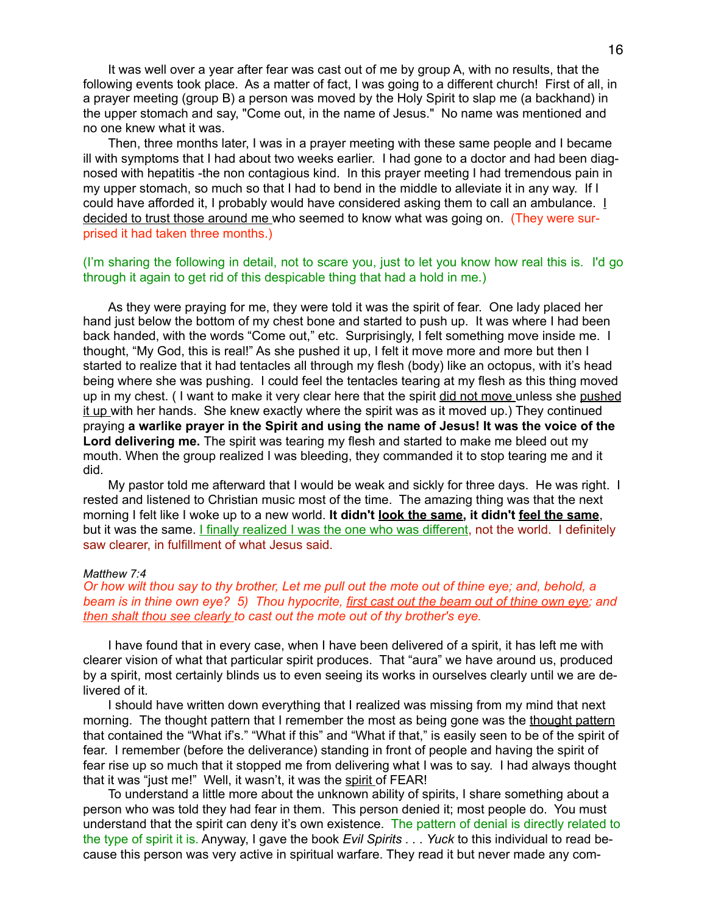It was well over a year after fear was cast out of me by group A, with no results, that the following events took place. As a matter of fact, I was going to a different church! First of all, in a prayer meeting (group B) a person was moved by the Holy Spirit to slap me (a backhand) in the upper stomach and say, "Come out, in the name of Jesus." No name was mentioned and no one knew what it was.

Then, three months later, I was in a prayer meeting with these same people and I became ill with symptoms that I had about two weeks earlier. I had gone to a doctor and had been diagnosed with hepatitis -the non contagious kind. In this prayer meeting I had tremendous pain in my upper stomach, so much so that I had to bend in the middle to alleviate it in any way. If I could have afforded it, I probably would have considered asking them to call an ambulance. I decided to trust those around me who seemed to know what was going on. (They were surprised it had taken three months.)

#### (I'm sharing the following in detail, not to scare you, just to let you know how real this is. I'd go through it again to get rid of this despicable thing that had a hold in me.)

As they were praying for me, they were told it was the spirit of fear. One lady placed her hand just below the bottom of my chest bone and started to push up. It was where I had been back handed, with the words "Come out," etc. Surprisingly, I felt something move inside me. I thought, "My God, this is real!" As she pushed it up, I felt it move more and more but then I started to realize that it had tentacles all through my flesh (body) like an octopus, with it's head being where she was pushing. I could feel the tentacles tearing at my flesh as this thing moved up in my chest. ( I want to make it very clear here that the spirit did not move unless she pushed it up with her hands. She knew exactly where the spirit was as it moved up.) They continued praying **a warlike prayer in the Spirit and using the name of Jesus! It was the voice of the Lord delivering me.** The spirit was tearing my flesh and started to make me bleed out my mouth. When the group realized I was bleeding, they commanded it to stop tearing me and it did.

My pastor told me afterward that I would be weak and sickly for three days. He was right. I rested and listened to Christian music most of the time. The amazing thing was that the next morning I felt like I woke up to a new world. **It didn't look the same, it didn't feel the same**, but it was the same. I finally realized I was the one who was different, not the world. I definitely saw clearer, in fulfillment of what Jesus said.

#### *Matthew 7:4*

#### *Or how wilt thou say to thy brother, Let me pull out the mote out of thine eye; and, behold, a beam is in thine own eye? 5) Thou hypocrite, first cast out the beam out of thine own eye; and then shalt thou see clearly to cast out the mote out of thy brother's eye.*

I have found that in every case, when I have been delivered of a spirit, it has left me with clearer vision of what that particular spirit produces. That "aura" we have around us, produced by a spirit, most certainly blinds us to even seeing its works in ourselves clearly until we are delivered of it.

I should have written down everything that I realized was missing from my mind that next morning. The thought pattern that I remember the most as being gone was the thought pattern that contained the "What if's." "What if this" and "What if that," is easily seen to be of the spirit of fear. I remember (before the deliverance) standing in front of people and having the spirit of fear rise up so much that it stopped me from delivering what I was to say. I had always thought that it was "just me!" Well, it wasn't, it was the spirit of FEAR!

To understand a little more about the unknown ability of spirits, I share something about a person who was told they had fear in them. This person denied it; most people do. You must understand that the spirit can deny it's own existence. The pattern of denial is directly related to the type of spirit it is. Anyway, I gave the book *Evil Spirits . . . Yuck* to this individual to read because this person was very active in spiritual warfare. They read it but never made any com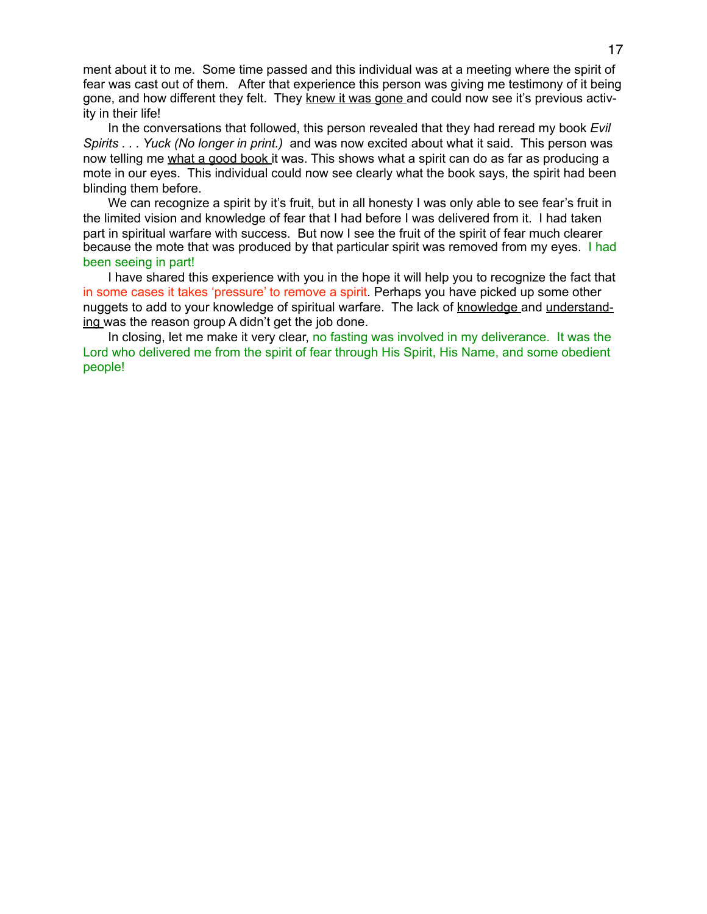ment about it to me. Some time passed and this individual was at a meeting where the spirit of fear was cast out of them. After that experience this person was giving me testimony of it being gone, and how different they felt. They knew it was gone and could now see it's previous activity in their life!

In the conversations that followed, this person revealed that they had reread my book *Evil Spirits . . . Yuck (No longer in print.)* and was now excited about what it said. This person was now telling me what a good book it was. This shows what a spirit can do as far as producing a mote in our eyes. This individual could now see clearly what the book says, the spirit had been blinding them before.

We can recognize a spirit by it's fruit, but in all honesty I was only able to see fear's fruit in the limited vision and knowledge of fear that I had before I was delivered from it. I had taken part in spiritual warfare with success. But now I see the fruit of the spirit of fear much clearer because the mote that was produced by that particular spirit was removed from my eyes. I had been seeing in part!

I have shared this experience with you in the hope it will help you to recognize the fact that in some cases it takes 'pressure' to remove a spirit. Perhaps you have picked up some other nuggets to add to your knowledge of spiritual warfare. The lack of knowledge and understanding was the reason group A didn't get the job done.

In closing, let me make it very clear, no fasting was involved in my deliverance. It was the Lord who delivered me from the spirit of fear through His Spirit, His Name, and some obedient people!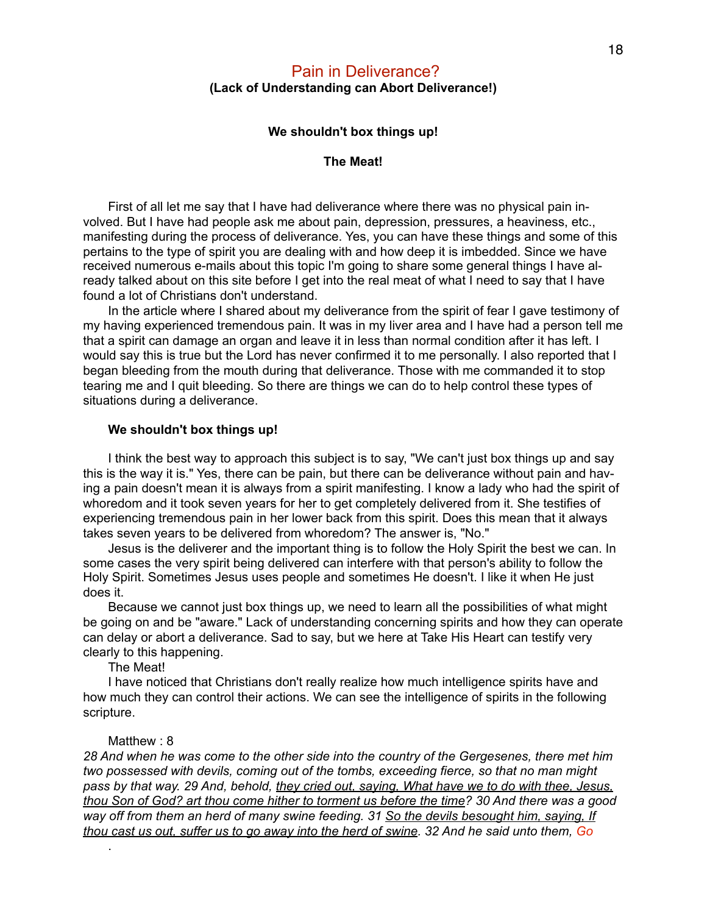### Pain in Deliverance? **(Lack of Understanding can Abort Deliverance!)**

#### **We shouldn't box things up!**

#### **The Meat!**

First of all let me say that I have had deliverance where there was no physical pain involved. But I have had people ask me about pain, depression, pressures, a heaviness, etc., manifesting during the process of deliverance. Yes, you can have these things and some of this pertains to the type of spirit you are dealing with and how deep it is imbedded. Since we have received numerous e-mails about this topic I'm going to share some general things I have already talked about on this site before I get into the real meat of what I need to say that I have found a lot of Christians don't understand.

In the article where I shared about my deliverance from the spirit of fear I gave testimony of my having experienced tremendous pain. It was in my liver area and I have had a person tell me that a spirit can damage an organ and leave it in less than normal condition after it has left. I would say this is true but the Lord has never confirmed it to me personally. I also reported that I began bleeding from the mouth during that deliverance. Those with me commanded it to stop tearing me and I quit bleeding. So there are things we can do to help control these types of situations during a deliverance.

#### **We shouldn't box things up!**

I think the best way to approach this subject is to say, "We can't just box things up and say this is the way it is." Yes, there can be pain, but there can be deliverance without pain and having a pain doesn't mean it is always from a spirit manifesting. I know a lady who had the spirit of whoredom and it took seven years for her to get completely delivered from it. She testifies of experiencing tremendous pain in her lower back from this spirit. Does this mean that it always takes seven years to be delivered from whoredom? The answer is, "No."

Jesus is the deliverer and the important thing is to follow the Holy Spirit the best we can. In some cases the very spirit being delivered can interfere with that person's ability to follow the Holy Spirit. Sometimes Jesus uses people and sometimes He doesn't. I like it when He just does it.

Because we cannot just box things up, we need to learn all the possibilities of what might be going on and be "aware." Lack of understanding concerning spirits and how they can operate can delay or abort a deliverance. Sad to say, but we here at Take His Heart can testify very clearly to this happening.

The Meat!

I have noticed that Christians don't really realize how much intelligence spirits have and how much they can control their actions. We can see the intelligence of spirits in the following scripture.

#### Matthew  $\cdot$  8

.

*28 And when he was come to the other side into the country of the Gergesenes, there met him two possessed with devils, coming out of the tombs, exceeding fierce, so that no man might pass by that way. 29 And, behold, they cried out, saying, What have we to do with thee, Jesus, thou Son of God? art thou come hither to torment us before the time? 30 And there was a good way off from them an herd of many swine feeding. 31 So the devils besought him, saying, If thou cast us out, suffer us to go away into the herd of swine. 32 And he said unto them, Go*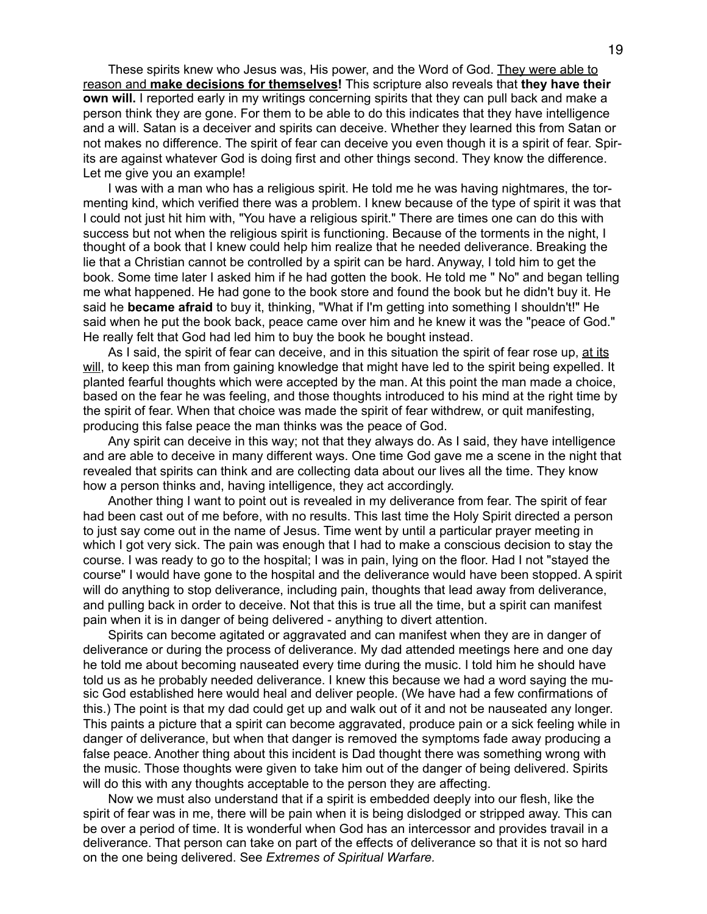These spirits knew who Jesus was, His power, and the Word of God. They were able to reason and **make decisions for themselves!** This scripture also reveals that **they have their own will.** I reported early in my writings concerning spirits that they can pull back and make a person think they are gone. For them to be able to do this indicates that they have intelligence and a will. Satan is a deceiver and spirits can deceive. Whether they learned this from Satan or not makes no difference. The spirit of fear can deceive you even though it is a spirit of fear. Spirits are against whatever God is doing first and other things second. They know the difference. Let me give you an example!

I was with a man who has a religious spirit. He told me he was having nightmares, the tormenting kind, which verified there was a problem. I knew because of the type of spirit it was that I could not just hit him with, "You have a religious spirit." There are times one can do this with success but not when the religious spirit is functioning. Because of the torments in the night, I thought of a book that I knew could help him realize that he needed deliverance. Breaking the lie that a Christian cannot be controlled by a spirit can be hard. Anyway, I told him to get the book. Some time later I asked him if he had gotten the book. He told me " No" and began telling me what happened. He had gone to the book store and found the book but he didn't buy it. He said he **became afraid** to buy it, thinking, "What if I'm getting into something I shouldn't!" He said when he put the book back, peace came over him and he knew it was the "peace of God." He really felt that God had led him to buy the book he bought instead.

As I said, the spirit of fear can deceive, and in this situation the spirit of fear rose up, at its will, to keep this man from gaining knowledge that might have led to the spirit being expelled. It planted fearful thoughts which were accepted by the man. At this point the man made a choice, based on the fear he was feeling, and those thoughts introduced to his mind at the right time by the spirit of fear. When that choice was made the spirit of fear withdrew, or quit manifesting, producing this false peace the man thinks was the peace of God.

Any spirit can deceive in this way; not that they always do. As I said, they have intelligence and are able to deceive in many different ways. One time God gave me a scene in the night that revealed that spirits can think and are collecting data about our lives all the time. They know how a person thinks and, having intelligence, they act accordingly.

Another thing I want to point out is revealed in my deliverance from fear. The spirit of fear had been cast out of me before, with no results. This last time the Holy Spirit directed a person to just say come out in the name of Jesus. Time went by until a particular prayer meeting in which I got very sick. The pain was enough that I had to make a conscious decision to stay the course. I was ready to go to the hospital; I was in pain, lying on the floor. Had I not "stayed the course" I would have gone to the hospital and the deliverance would have been stopped. A spirit will do anything to stop deliverance, including pain, thoughts that lead away from deliverance, and pulling back in order to deceive. Not that this is true all the time, but a spirit can manifest pain when it is in danger of being delivered - anything to divert attention.

Spirits can become agitated or aggravated and can manifest when they are in danger of deliverance or during the process of deliverance. My dad attended meetings here and one day he told me about becoming nauseated every time during the music. I told him he should have told us as he probably needed deliverance. I knew this because we had a word saying the music God established here would heal and deliver people. (We have had a few confirmations of this.) The point is that my dad could get up and walk out of it and not be nauseated any longer. This paints a picture that a spirit can become aggravated, produce pain or a sick feeling while in danger of deliverance, but when that danger is removed the symptoms fade away producing a false peace. Another thing about this incident is Dad thought there was something wrong with the music. Those thoughts were given to take him out of the danger of being delivered. Spirits will do this with any thoughts acceptable to the person they are affecting.

Now we must also understand that if a spirit is embedded deeply into our flesh, like the spirit of fear was in me, there will be pain when it is being dislodged or stripped away. This can be over a period of time. It is wonderful when God has an intercessor and provides travail in a deliverance. That person can take on part of the effects of deliverance so that it is not so hard on the one being delivered. See *Extremes of Spiritual Warfare.*